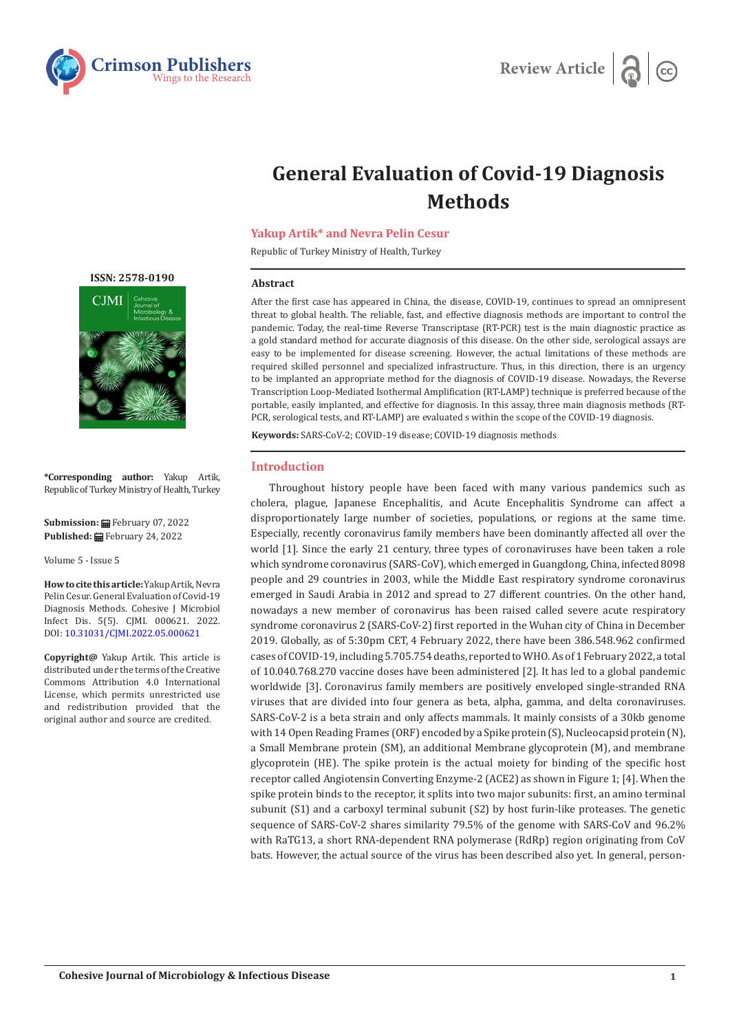



# **General Evaluation of Covid-19 Diagnosis Methods**

## **Yakup Artik\* and Nevra Pelin Cesur**

Republic of Turkey Ministry of Health, Turkey

### **Abstract**

After the first case has appeared in China, the disease, COVID-19, continues to spread an omnipresent threat to global health. The reliable, fast, and effective diagnosis methods are important to control the pandemic. Today, the real-time Reverse Transcriptase (RT-PCR) test is the main diagnostic practice as a gold standard method for accurate diagnosis of this disease. On the other side, serological assays are easy to be implemented for disease screening. However, the actual limitations of these methods are required skilled personnel and specialized infrastructure. Thus, in this direction, there is an urgency to be implanted an appropriate method for the diagnosis of COVID-19 disease. Nowadays, the Reverse Transcription Loop-Mediated Isothermal Amplification (RT-LAMP) technique is preferred because of the portable, easily implanted, and effective for diagnosis. In this assay, three main diagnosis methods (RT-PCR, serological tests, and RT-LAMP) are evaluated s within the scope of the COVID-19 diagnosis.

**Keywords:** SARS-CoV-2; COVID-19 disease; COVID-19 diagnosis methods

## **Introduction**

Throughout history people have been faced with many various pandemics such as cholera, plague, Japanese Encephalitis, and Acute Encephalitis Syndrome can affect a disproportionately large number of societies, populations, or regions at the same time. Especially, recently coronavirus family members have been dominantly affected all over the world [1]. Since the early 21 century, three types of coronaviruses have been taken a role which syndrome coronavirus (SARS‐CoV), which emerged in Guangdong, China, infected 8098 people and 29 countries in 2003, while the Middle East respiratory syndrome coronavirus emerged in Saudi Arabia in 2012 and spread to 27 different countries. On the other hand, nowadays a new member of coronavirus has been raised called severe acute respiratory syndrome coronavirus 2 (SARS-CoV-2) first reported in the Wuhan city of China in December 2019. Globally, as of 5:30pm CET, 4 February 2022, there have been 386.548.962 confirmed cases of COVID-19, including 5.705.754 deaths, reported to WHO. As of 1 February 2022, a total of 10.040.768.270 vaccine doses have been administered [2]. It has led to a global pandemic worldwide [3]. Coronavirus family members are positively enveloped single-stranded RNA viruses that are divided into four genera as beta, alpha, gamma, and delta coronaviruses. SARS-CoV-2 is a beta strain and only affects mammals. It mainly consists of a 30kb genome with 14 Open Reading Frames (ORF) encoded by a Spike protein (S), Nucleocapsid protein (N), a Small Membrane protein (SM), an additional Membrane glycoprotein (M), and membrane glycoprotein (HE). The spike protein is the actual moiety for binding of the specific host receptor called Angiotensin Converting Enzyme-2 (ACE2) as shown in Figure 1; [4]. When the spike protein binds to the receptor, it splits into two major subunits: first, an amino terminal subunit (S1) and a carboxyl terminal subunit (S2) by host furin-like proteases. The genetic sequence of SARS-CoV-2 shares similarity 79.5% of the genome with SARS-CoV and 96.2% with RaTG13, a short RNA-dependent RNA polymerase (RdRp) region originating from CoV bats. However, the actual source of the virus has been described also yet. In general, person-

**[ISSN: 2578-0190](https://crimsonpublishers.com/cjmi/)**



**\*Corresponding author:** Yakup Artik, Republic of Turkey Ministry of Health, Turkey

**Submission:** February 07, 2022 **Published:** February 24, 2022

Volume 5 - Issue 5

**How to cite this article:**Yakup Artik, Nevra Pelin Cesur. General Evaluation of Covid-19 Diagnosis Methods. Cohesive J Microbiol Infect Dis. 5(5). CJMI. 000621. 2022. DOI: [10.31031/CJMI.2022.05.000621](http://dx.doi.org/10.31031/CJMI.2022.05.000621)

**Copyright@** Yakup Artik. This article is distributed under the terms of the Creative Commons Attribution 4.0 International License, which permits unrestricted use and redistribution provided that the original author and source are credited.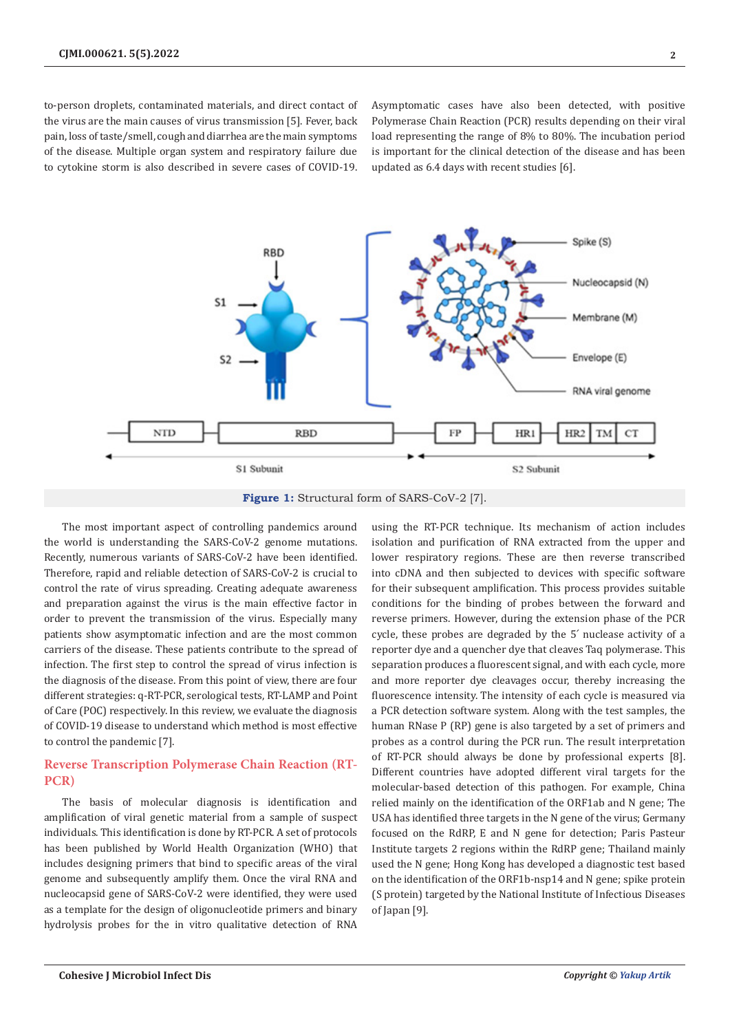to-person droplets, contaminated materials, and direct contact of the virus are the main causes of virus transmission [5]. Fever, back pain, loss of taste/smell, cough and diarrhea are the main symptoms of the disease. Multiple organ system and respiratory failure due to cytokine storm is also described in severe cases of COVID-19.

Asymptomatic cases have also been detected, with positive Polymerase Chain Reaction (PCR) results depending on their viral load representing the range of 8% to 80%. The incubation period is important for the clinical detection of the disease and has been updated as 6.4 days with recent studies [6].



**Figure 1:** Structural form of SARS-CoV-2 [7].

The most important aspect of controlling pandemics around the world is understanding the SARS-CoV-2 genome mutations. Recently, numerous variants of SARS-CoV-2 have been identified. Therefore, rapid and reliable detection of SARS-CoV-2 is crucial to control the rate of virus spreading. Creating adequate awareness and preparation against the virus is the main effective factor in order to prevent the transmission of the virus. Especially many patients show asymptomatic infection and are the most common carriers of the disease. These patients contribute to the spread of infection. The first step to control the spread of virus infection is the diagnosis of the disease. From this point of view, there are four different strategies: q-RT-PCR, serological tests, RT-LAMP and Point of Care (POC) respectively. In this review, we evaluate the diagnosis of COVID-19 disease to understand which method is most effective to control the pandemic [7].

# **Reverse Transcription Polymerase Chain Reaction (RT-PCR)**

The basis of molecular diagnosis is identification and amplification of viral genetic material from a sample of suspect individuals. This identification is done by RT-PCR. A set of protocols has been published by World Health Organization (WHO) that includes designing primers that bind to specific areas of the viral genome and subsequently amplify them. Once the viral RNA and nucleocapsid gene of SARS-CoV-2 were identified, they were used as a template for the design of oligonucleotide primers and binary hydrolysis probes for the in vitro qualitative detection of RNA

using the RT-PCR technique. Its mechanism of action includes isolation and purification of RNA extracted from the upper and lower respiratory regions. These are then reverse transcribed into cDNA and then subjected to devices with specific software for their subsequent amplification. This process provides suitable conditions for the binding of probes between the forward and reverse primers. However, during the extension phase of the PCR cycle, these probes are degraded by the 5՛ nuclease activity of a reporter dye and a quencher dye that cleaves Taq polymerase. This separation produces a fluorescent signal, and with each cycle, more and more reporter dye cleavages occur, thereby increasing the fluorescence intensity. The intensity of each cycle is measured via a PCR detection software system. Along with the test samples, the human RNase P (RP) gene is also targeted by a set of primers and probes as a control during the PCR run. The result interpretation of RT-PCR should always be done by professional experts [8]. Different countries have adopted different viral targets for the molecular-based detection of this pathogen. For example, China relied mainly on the identification of the ORF1ab and N gene; The USA has identified three targets in the N gene of the virus; Germany focused on the RdRP, E and N gene for detection; Paris Pasteur Institute targets 2 regions within the RdRP gene; Thailand mainly used the N gene; Hong Kong has developed a diagnostic test based on the identification of the ORF1b-nsp14 and N gene; spike protein (S protein) targeted by the National Institute of Infectious Diseases of Japan [9].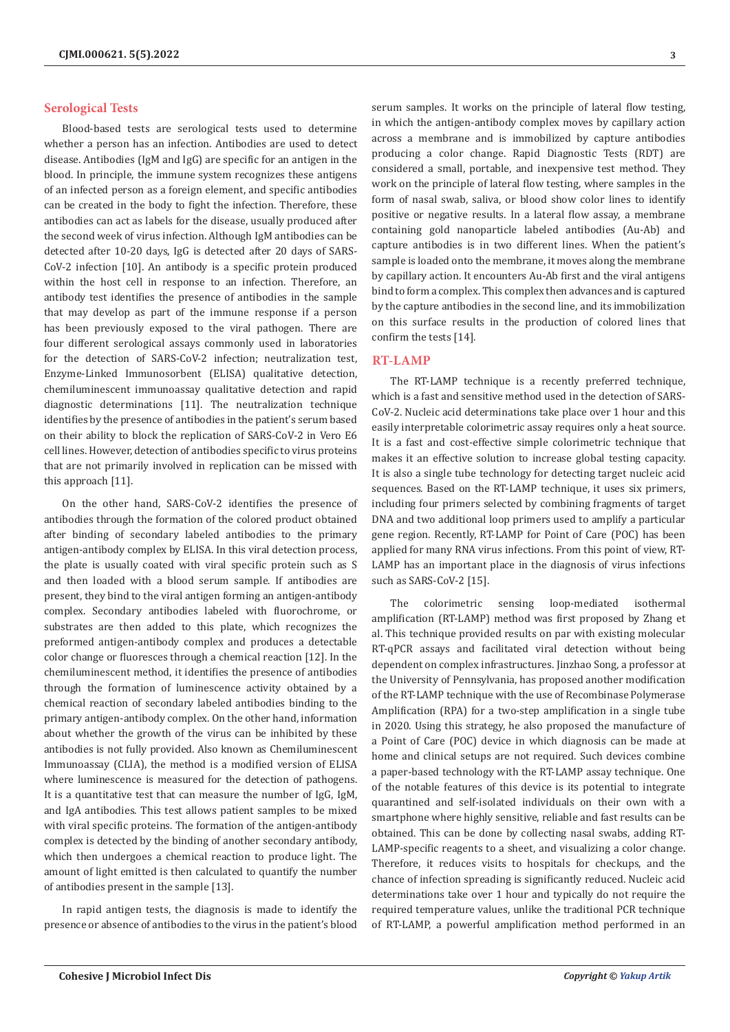## **Serological Tests**

Blood-based tests are serological tests used to determine whether a person has an infection. Antibodies are used to detect disease. Antibodies (IgM and IgG) are specific for an antigen in the blood. In principle, the immune system recognizes these antigens of an infected person as a foreign element, and specific antibodies can be created in the body to fight the infection. Therefore, these antibodies can act as labels for the disease, usually produced after the second week of virus infection. Although IgM antibodies can be detected after 10-20 days, IgG is detected after 20 days of SARS-CoV-2 infection [10]. An antibody is a specific protein produced within the host cell in response to an infection. Therefore, an antibody test identifies the presence of antibodies in the sample that may develop as part of the immune response if a person has been previously exposed to the viral pathogen. There are four different serological assays commonly used in laboratories for the detection of SARS-CoV-2 infection; neutralization test, Enzyme-Linked Immunosorbent (ELISA) qualitative detection, chemiluminescent immunoassay qualitative detection and rapid diagnostic determinations [11]. The neutralization technique identifies by the presence of antibodies in the patient's serum based on their ability to block the replication of SARS-CoV-2 in Vero E6 cell lines. However, detection of antibodies specific to virus proteins that are not primarily involved in replication can be missed with this approach [11].

On the other hand, SARS-CoV-2 identifies the presence of antibodies through the formation of the colored product obtained after binding of secondary labeled antibodies to the primary antigen-antibody complex by ELISA. In this viral detection process, the plate is usually coated with viral specific protein such as S and then loaded with a blood serum sample. If antibodies are present, they bind to the viral antigen forming an antigen-antibody complex. Secondary antibodies labeled with fluorochrome, or substrates are then added to this plate, which recognizes the preformed antigen-antibody complex and produces a detectable color change or fluoresces through a chemical reaction [12]. In the chemiluminescent method, it identifies the presence of antibodies through the formation of luminescence activity obtained by a chemical reaction of secondary labeled antibodies binding to the primary antigen-antibody complex. On the other hand, information about whether the growth of the virus can be inhibited by these antibodies is not fully provided. Also known as Chemiluminescent Immunoassay (CLIA), the method is a modified version of ELISA where luminescence is measured for the detection of pathogens. It is a quantitative test that can measure the number of IgG, IgM, and IgA antibodies. This test allows patient samples to be mixed with viral specific proteins. The formation of the antigen-antibody complex is detected by the binding of another secondary antibody, which then undergoes a chemical reaction to produce light. The amount of light emitted is then calculated to quantify the number of antibodies present in the sample [13].

In rapid antigen tests, the diagnosis is made to identify the presence or absence of antibodies to the virus in the patient's blood

serum samples. It works on the principle of lateral flow testing, in which the antigen-antibody complex moves by capillary action across a membrane and is immobilized by capture antibodies producing a color change. Rapid Diagnostic Tests (RDT) are considered a small, portable, and inexpensive test method. They work on the principle of lateral flow testing, where samples in the form of nasal swab, saliva, or blood show color lines to identify positive or negative results. In a lateral flow assay, a membrane containing gold nanoparticle labeled antibodies (Au-Ab) and capture antibodies is in two different lines. When the patient's sample is loaded onto the membrane, it moves along the membrane by capillary action. It encounters Au-Ab first and the viral antigens bind to form a complex. This complex then advances and is captured by the capture antibodies in the second line, and its immobilization on this surface results in the production of colored lines that confirm the tests [14].

## **RT-LAMP**

The RT-LAMP technique is a recently preferred technique, which is a fast and sensitive method used in the detection of SARS-CoV-2. Nucleic acid determinations take place over 1 hour and this easily interpretable colorimetric assay requires only a heat source. It is a fast and cost-effective simple colorimetric technique that makes it an effective solution to increase global testing capacity. It is also a single tube technology for detecting target nucleic acid sequences. Based on the RT-LAMP technique, it uses six primers, including four primers selected by combining fragments of target DNA and two additional loop primers used to amplify a particular gene region. Recently, RT-LAMP for Point of Care (POC) has been applied for many RNA virus infections. From this point of view, RT-LAMP has an important place in the diagnosis of virus infections such as SARS-CoV-2 [15].

The colorimetric sensing loop-mediated isothermal amplification (RT-LAMP) method was first proposed by Zhang et al. This technique provided results on par with existing molecular RT-qPCR assays and facilitated viral detection without being dependent on complex infrastructures. Jinzhao Song, a professor at the University of Pennsylvania, has proposed another modification of the RT-LAMP technique with the use of Recombinase Polymerase Amplification (RPA) for a two-step amplification in a single tube in 2020. Using this strategy, he also proposed the manufacture of a Point of Care (POC) device in which diagnosis can be made at home and clinical setups are not required. Such devices combine a paper-based technology with the RT-LAMP assay technique. One of the notable features of this device is its potential to integrate quarantined and self-isolated individuals on their own with a smartphone where highly sensitive, reliable and fast results can be obtained. This can be done by collecting nasal swabs, adding RT-LAMP-specific reagents to a sheet, and visualizing a color change. Therefore, it reduces visits to hospitals for checkups, and the chance of infection spreading is significantly reduced. Nucleic acid determinations take over 1 hour and typically do not require the required temperature values, unlike the traditional PCR technique of RT-LAMP, a powerful amplification method performed in an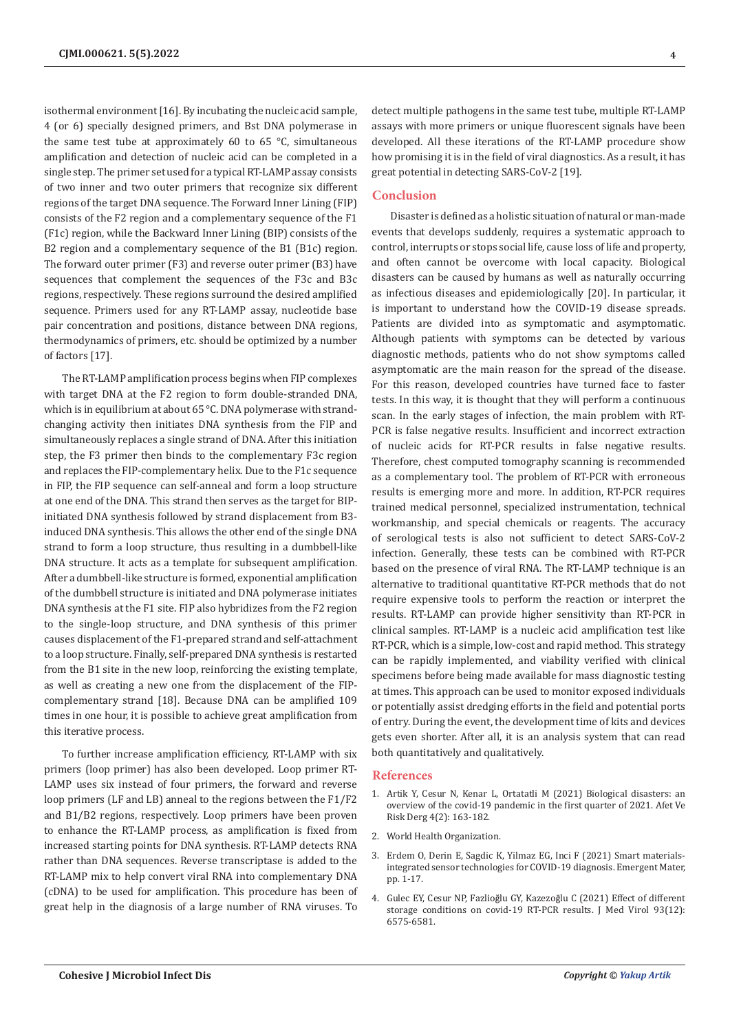isothermal environment [16]. By incubating the nucleic acid sample, 4 (or 6) specially designed primers, and Bst DNA polymerase in the same test tube at approximately 60 to 65 °C, simultaneous amplification and detection of nucleic acid can be completed in a single step. The primer set used for a typical RT-LAMP assay consists of two inner and two outer primers that recognize six different regions of the target DNA sequence. The Forward Inner Lining (FIP) consists of the F2 region and a complementary sequence of the F1 (F1c) region, while the Backward Inner Lining (BIP) consists of the B2 region and a complementary sequence of the B1 (B1c) region. The forward outer primer (F3) and reverse outer primer (B3) have sequences that complement the sequences of the F3c and B3c regions, respectively. These regions surround the desired amplified sequence. Primers used for any RT-LAMP assay, nucleotide base pair concentration and positions, distance between DNA regions, thermodynamics of primers, etc. should be optimized by a number of factors [17].

The RT-LAMP amplification process begins when FIP complexes with target DNA at the F2 region to form double-stranded DNA, which is in equilibrium at about 65 °C. DNA polymerase with strandchanging activity then initiates DNA synthesis from the FIP and simultaneously replaces a single strand of DNA. After this initiation step, the F3 primer then binds to the complementary F3c region and replaces the FIP-complementary helix. Due to the F1c sequence in FIP, the FIP sequence can self-anneal and form a loop structure at one end of the DNA. This strand then serves as the target for BIPinitiated DNA synthesis followed by strand displacement from B3induced DNA synthesis. This allows the other end of the single DNA strand to form a loop structure, thus resulting in a dumbbell-like DNA structure. It acts as a template for subsequent amplification. After a dumbbell-like structure is formed, exponential amplification of the dumbbell structure is initiated and DNA polymerase initiates DNA synthesis at the F1 site. FIP also hybridizes from the F2 region to the single-loop structure, and DNA synthesis of this primer causes displacement of the F1-prepared strand and self-attachment to a loop structure. Finally, self-prepared DNA synthesis is restarted from the B1 site in the new loop, reinforcing the existing template, as well as creating a new one from the displacement of the FIPcomplementary strand [18]. Because DNA can be amplified 109 times in one hour, it is possible to achieve great amplification from this iterative process.

To further increase amplification efficiency, RT-LAMP with six primers (loop primer) has also been developed. Loop primer RT-LAMP uses six instead of four primers, the forward and reverse loop primers (LF and LB) anneal to the regions between the F1/F2 and B1/B2 regions, respectively. Loop primers have been proven to enhance the RT-LAMP process, as amplification is fixed from increased starting points for DNA synthesis. RT-LAMP detects RNA rather than DNA sequences. Reverse transcriptase is added to the RT-LAMP mix to help convert viral RNA into complementary DNA (cDNA) to be used for amplification. This procedure has been of great help in the diagnosis of a large number of RNA viruses. To

detect multiple pathogens in the same test tube, multiple RT-LAMP assays with more primers or unique fluorescent signals have been

## **Conclusion**

Disaster is defined as a holistic situation of natural or man-made events that develops suddenly, requires a systematic approach to control, interrupts or stops social life, cause loss of life and property, and often cannot be overcome with local capacity. Biological disasters can be caused by humans as well as naturally occurring as infectious diseases and epidemiologically [20]. In particular, it is important to understand how the COVID-19 disease spreads. Patients are divided into as symptomatic and asymptomatic. Although patients with symptoms can be detected by various diagnostic methods, patients who do not show symptoms called asymptomatic are the main reason for the spread of the disease. For this reason, developed countries have turned face to faster tests. In this way, it is thought that they will perform a continuous scan. In the early stages of infection, the main problem with RT-PCR is false negative results. Insufficient and incorrect extraction of nucleic acids for RT-PCR results in false negative results. Therefore, chest computed tomography scanning is recommended as a complementary tool. The problem of RT-PCR with erroneous results is emerging more and more. In addition, RT-PCR requires trained medical personnel, specialized instrumentation, technical workmanship, and special chemicals or reagents. The accuracy of serological tests is also not sufficient to detect SARS-CoV-2 infection. Generally, these tests can be combined with RT-PCR based on the presence of viral RNA. The RT-LAMP technique is an alternative to traditional quantitative RT-PCR methods that do not require expensive tools to perform the reaction or interpret the results. RT-LAMP can provide higher sensitivity than RT-PCR in clinical samples. RT-LAMP is a nucleic acid amplification test like RT-PCR, which is a simple, low-cost and rapid method. This strategy can be rapidly implemented, and viability verified with clinical specimens before being made available for mass diagnostic testing at times. This approach can be used to monitor exposed individuals or potentially assist dredging efforts in the field and potential ports of entry. During the event, the development time of kits and devices gets even shorter. After all, it is an analysis system that can read both quantitatively and qualitatively.

developed. All these iterations of the RT-LAMP procedure show how promising it is in the field of viral diagnostics. As a result, it has

great potential in detecting SARS-CoV-2 [19].

#### **References**

- 1. [Artik Y, Cesur N, Kenar L, Ortatatli M \(2021\) Biological disasters: an](https://dergipark.org.tr/en/download/article-file/1903789) [overview of the covid-19 pandemic in the first quarter of 2021. Afet Ve](https://dergipark.org.tr/en/download/article-file/1903789) [Risk Derg 4\(2\): 163-182.](https://dergipark.org.tr/en/download/article-file/1903789)
- 2. World Health Organization.
- 3. [Erdem O, Derin E, Sagdic K, Yilmaz EG, Inci F \(2021\) Smart materials](https://pubmed.ncbi.nlm.nih.gov/33495747/)[integrated sensor technologies for COVID-19 diagnosis. Emergent Mater,](https://pubmed.ncbi.nlm.nih.gov/33495747/) [pp. 1-17.](https://pubmed.ncbi.nlm.nih.gov/33495747/)
- 4. Gulec EY, Cesur NP, Fazlioğlu GY, Kazezoğ[lu C \(2021\) Effect of different](https://pubmed.ncbi.nlm.nih.gov/34260086/) [storage conditions on covid‐19 RT‐PCR results. J Med Virol 93\(12\):](https://pubmed.ncbi.nlm.nih.gov/34260086/) [6575-6581.](https://pubmed.ncbi.nlm.nih.gov/34260086/)